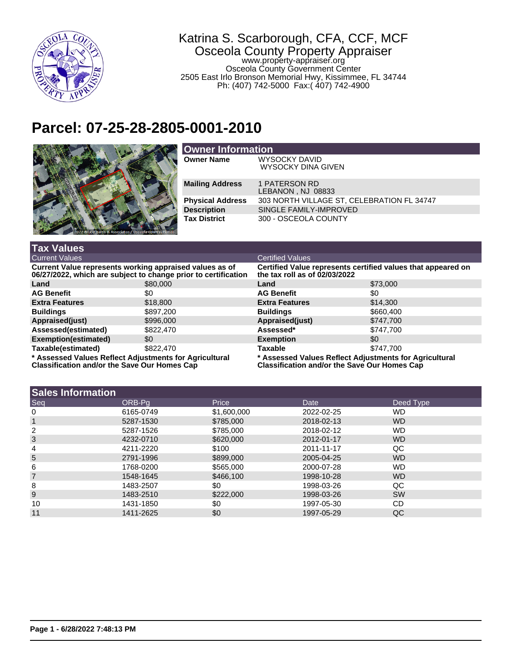

**Tax Values**

## Katrina S. Scarborough, CFA, CCF, MCF Osceola County Property Appraiser www.property-appraiser.org Osceola County Government Center 2505 East Irlo Bronson Memorial Hwy, Kissimmee, FL 34744

Ph: (407) 742-5000 Fax:( 407) 742-4900

## **Parcel: 07-25-28-2805-0001-2010**



| <b>Owner Information</b> |                                                   |  |  |
|--------------------------|---------------------------------------------------|--|--|
| <b>Owner Name</b>        | <b>WYSOCKY DAVID</b><br><b>WYSOCKY DINA GIVEN</b> |  |  |
| <b>Mailing Address</b>   | 1 PATERSON RD<br>LEBANON, NJ 08833                |  |  |
| <b>Physical Address</b>  | 303 NORTH VILLAGE ST, CELEBRATION FL 34747        |  |  |
| <b>Description</b>       | SINGLE FAMILY-IMPROVED                            |  |  |
| <b>Tax District</b>      | 300 - OSCEOLA COUNTY                              |  |  |

| тал таписэ                                                                                                                |           |                                                                                                               |           |  |
|---------------------------------------------------------------------------------------------------------------------------|-----------|---------------------------------------------------------------------------------------------------------------|-----------|--|
| <b>Current Values</b>                                                                                                     |           | <b>Certified Values</b>                                                                                       |           |  |
| Current Value represents working appraised values as of<br>06/27/2022, which are subject to change prior to certification |           | Certified Value represents certified values that appeared on<br>the tax roll as of $02/03/2022$               |           |  |
| Land                                                                                                                      | \$80,000  | Land                                                                                                          | \$73,000  |  |
| <b>AG Benefit</b>                                                                                                         | \$0       | <b>AG Benefit</b>                                                                                             | \$0       |  |
| <b>Extra Features</b>                                                                                                     | \$18,800  | <b>Extra Features</b>                                                                                         | \$14,300  |  |
| <b>Buildings</b>                                                                                                          | \$897,200 | <b>Buildings</b>                                                                                              | \$660,400 |  |
| Appraised(just)                                                                                                           | \$996,000 | Appraised(just)                                                                                               | \$747,700 |  |
| Assessed(estimated)                                                                                                       | \$822,470 | Assessed*                                                                                                     | \$747.700 |  |
| Exemption(estimated)                                                                                                      | \$0       | <b>Exemption</b>                                                                                              | \$0       |  |
| Taxable(estimated)                                                                                                        | \$822.470 | Taxable                                                                                                       | \$747.700 |  |
| * Assessed Values Reflect Adjustments for Agricultural<br><b>Classification and/or the Save Our Homes Cap</b>             |           | * Assessed Values Reflect Adjustments for Agricultural<br><b>Classification and/or the Save Our Homes Cap</b> |           |  |

|  | <b>Sales Information</b> |
|--|--------------------------|
|--|--------------------------|

| <b>Sales Information</b> |             |            |                |  |
|--------------------------|-------------|------------|----------------|--|
| ORB-Pa                   | Price       | Date       | Deed Type      |  |
| 6165-0749                | \$1,600,000 | 2022-02-25 | WD.            |  |
| 5287-1530                | \$785,000   | 2018-02-13 | WD.            |  |
| 5287-1526                | \$785,000   | 2018-02-12 | WD.            |  |
| 4232-0710                | \$620,000   | 2012-01-17 | W <sub>D</sub> |  |
| 4211-2220                | \$100       | 2011-11-17 | QC             |  |
| 2791-1996                | \$899,000   | 2005-04-25 | WD.            |  |
| 1768-0200                | \$565,000   | 2000-07-28 | <b>WD</b>      |  |
| 1548-1645                | \$466,100   | 1998-10-28 | W <sub>D</sub> |  |
| 1483-2507                | \$0         | 1998-03-26 | QC             |  |
| 1483-2510                | \$222,000   | 1998-03-26 | <b>SW</b>      |  |
| 1431-1850                | \$0         | 1997-05-30 | CD             |  |
| 1411-2625                | \$0         | 1997-05-29 | QC             |  |
|                          |             |            |                |  |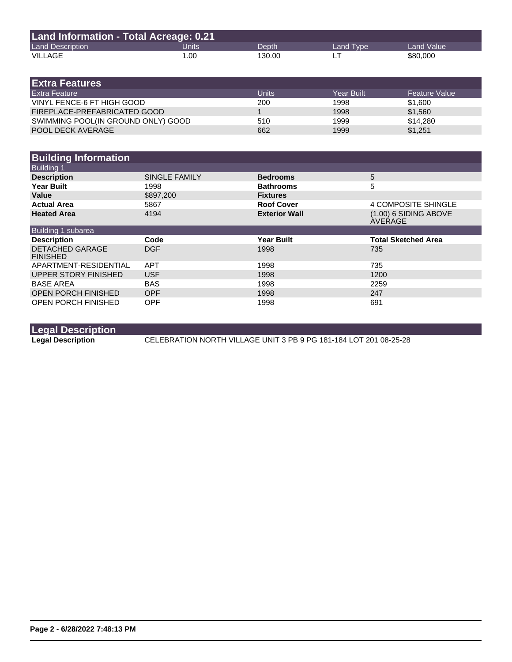| Land Information - Total Acreage: 0.21 |       |        |           |            |  |
|----------------------------------------|-------|--------|-----------|------------|--|
| <b>Land Description</b>                | Units | Depth' | Land Tvpe | Land Value |  |
| VILLAGE                                | 1.00  | 130.00 |           | \$80,000   |  |

| <b>IExtra Features</b> .           |              |            |                      |
|------------------------------------|--------------|------------|----------------------|
| <b>Extra Feature</b>               | <b>Units</b> | Year Built | <b>Feature Value</b> |
| VINYL FENCE-6 FT HIGH GOOD         | 200          | 1998       | \$1,600              |
| FIREPLACE-PREFABRICATED GOOD       |              | 1998       | \$1,560              |
| SWIMMING POOL(IN GROUND ONLY) GOOD | 510          | 1999       | \$14,280             |
| <b>POOL DECK AVERAGE</b>           | 662          | 1999       | \$1,251              |

| <b>Building Information</b>               |                      |                      |                                    |
|-------------------------------------------|----------------------|----------------------|------------------------------------|
| <b>Building 1</b>                         |                      |                      |                                    |
| <b>Description</b>                        | <b>SINGLE FAMILY</b> | <b>Bedrooms</b>      | 5                                  |
| <b>Year Built</b>                         | 1998                 | <b>Bathrooms</b>     | 5                                  |
| Value                                     | \$897,200            | <b>Fixtures</b>      |                                    |
| <b>Actual Area</b>                        | 5867                 | <b>Roof Cover</b>    | 4 COMPOSITE SHINGLE                |
| <b>Heated Area</b>                        | 4194                 | <b>Exterior Wall</b> | $(1.00)$ 6 SIDING ABOVE<br>AVERAGE |
| Building 1 subarea                        |                      |                      |                                    |
| <b>Description</b>                        | Code                 | <b>Year Built</b>    | <b>Total Sketched Area</b>         |
| <b>DETACHED GARAGE</b><br><b>FINISHED</b> | <b>DGF</b>           | 1998                 | 735                                |
| APARTMENT-RESIDENTIAL                     | <b>APT</b>           | 1998                 | 735                                |
| UPPER STORY FINISHED                      | <b>USF</b>           | 1998                 | 1200                               |
| <b>BASE AREA</b>                          | <b>BAS</b>           | 1998                 | 2259                               |
| <b>OPEN PORCH FINISHED</b>                | <b>OPF</b>           | 1998                 | 247                                |
| <b>OPEN PORCH FINISHED</b>                | <b>OPF</b>           | 1998                 | 691                                |

**Legal Description**

**Legal Description** CELEBRATION NORTH VILLAGE UNIT 3 PB 9 PG 181-184 LOT 201 08-25-28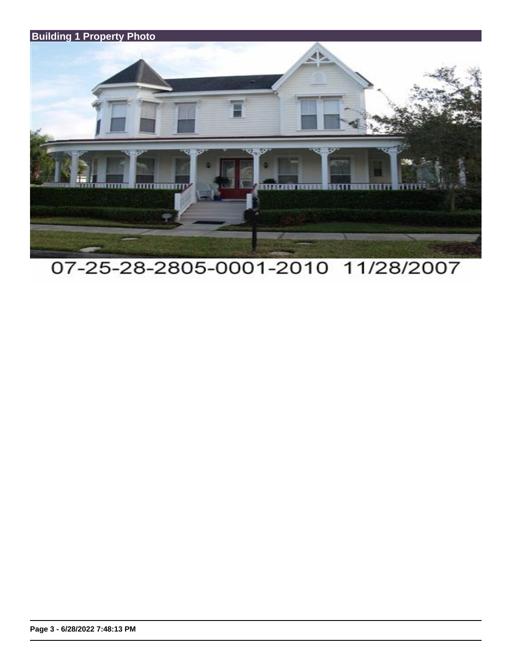

07-25-28-2805-0001-2010 11/28/2007